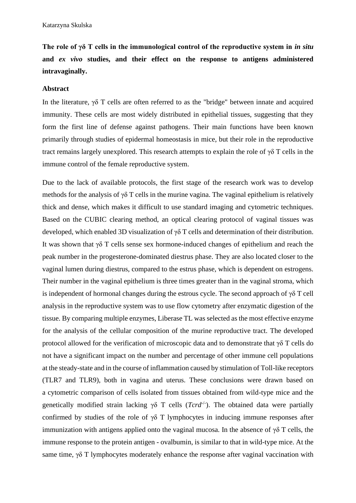**The role of γδ T cells in the immunological control of the reproductive system in** *in situ* **and** *ex vivo* **studies, and their effect on the response to antigens administered intravaginally.**

## **Abstract**

In the literature, γδ T cells are often referred to as the "bridge" between innate and acquired immunity. These cells are most widely distributed in epithelial tissues, suggesting that they form the first line of defense against pathogens. Their main functions have been known primarily through studies of epidermal homeostasis in mice, but their role in the reproductive tract remains largely unexplored. This research attempts to explain the role of γδ T cells in the immune control of the female reproductive system.

Due to the lack of available protocols, the first stage of the research work was to develop methods for the analysis of  $\gamma\delta$  T cells in the murine vagina. The vaginal epithelium is relatively thick and dense, which makes it difficult to use standard imaging and cytometric techniques. Based on the CUBIC clearing method, an optical clearing protocol of vaginal tissues was developed, which enabled 3D visualization of γδ T cells and determination of their distribution. It was shown that γδ T cells sense sex hormone-induced changes of epithelium and reach the peak number in the progesterone-dominated diestrus phase. They are also located closer to the vaginal lumen during diestrus, compared to the estrus phase, which is dependent on estrogens. Their number in the vaginal epithelium is three times greater than in the vaginal stroma, which is independent of hormonal changes during the estrous cycle. The second approach of  $\gamma\delta$  T cell analysis in the reproductive system was to use flow cytometry after enzymatic digestion of the tissue. By comparing multiple enzymes, Liberase TL was selected as the most effective enzyme for the analysis of the cellular composition of the murine reproductive tract. The developed protocol allowed for the verification of microscopic data and to demonstrate that γδ T cells do not have a significant impact on the number and percentage of other immune cell populations at the steady-state and in the course of inflammation caused by stimulation of Toll-like receptors (TLR7 and TLR9), both in vagina and uterus. These conclusions were drawn based on a cytometric comparison of cells isolated from tissues obtained from wild-type mice and the genetically modified strain lacking  $\gamma \delta$  T cells (*Tcrd<sup>-/-</sup>*). The obtained data were partially confirmed by studies of the role of  $\gamma\delta$  T lymphocytes in inducing immune responses after immunization with antigens applied onto the vaginal mucosa. In the absence of  $\gamma\delta$  T cells, the immune response to the protein antigen - ovalbumin, is similar to that in wild-type mice. At the same time,  $\gamma \delta$  T lymphocytes moderately enhance the response after vaginal vaccination with